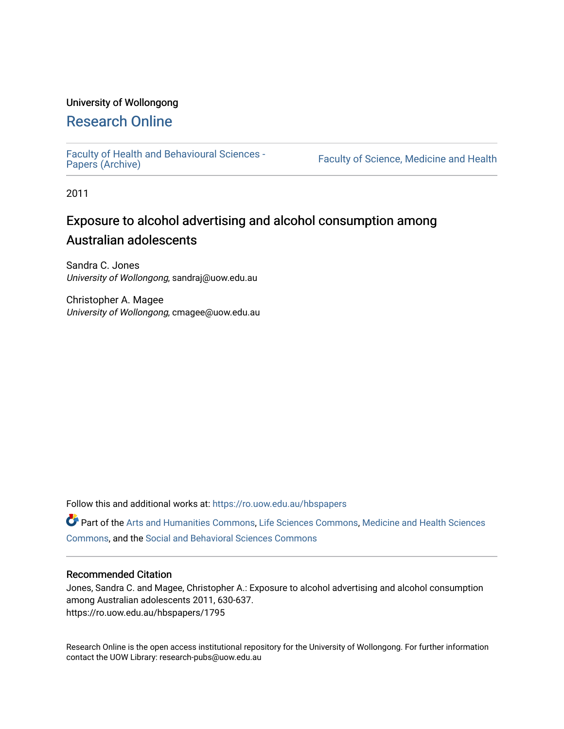## University of Wollongong

## [Research Online](https://ro.uow.edu.au/)

[Faculty of Health and Behavioural Sciences -](https://ro.uow.edu.au/hbspapers)<br>Papers (Archive)

Faculty of Science, Medicine and Health

2011

# Exposure to alcohol advertising and alcohol consumption among Australian adolescents

Sandra C. Jones University of Wollongong, sandraj@uow.edu.au

Christopher A. Magee University of Wollongong, cmagee@uow.edu.au

Follow this and additional works at: [https://ro.uow.edu.au/hbspapers](https://ro.uow.edu.au/hbspapers?utm_source=ro.uow.edu.au%2Fhbspapers%2F1795&utm_medium=PDF&utm_campaign=PDFCoverPages) 

Part of the [Arts and Humanities Commons,](http://network.bepress.com/hgg/discipline/438?utm_source=ro.uow.edu.au%2Fhbspapers%2F1795&utm_medium=PDF&utm_campaign=PDFCoverPages) [Life Sciences Commons,](http://network.bepress.com/hgg/discipline/1016?utm_source=ro.uow.edu.au%2Fhbspapers%2F1795&utm_medium=PDF&utm_campaign=PDFCoverPages) [Medicine and Health Sciences](http://network.bepress.com/hgg/discipline/648?utm_source=ro.uow.edu.au%2Fhbspapers%2F1795&utm_medium=PDF&utm_campaign=PDFCoverPages) [Commons](http://network.bepress.com/hgg/discipline/648?utm_source=ro.uow.edu.au%2Fhbspapers%2F1795&utm_medium=PDF&utm_campaign=PDFCoverPages), and the [Social and Behavioral Sciences Commons](http://network.bepress.com/hgg/discipline/316?utm_source=ro.uow.edu.au%2Fhbspapers%2F1795&utm_medium=PDF&utm_campaign=PDFCoverPages)

#### Recommended Citation

Jones, Sandra C. and Magee, Christopher A.: Exposure to alcohol advertising and alcohol consumption among Australian adolescents 2011, 630-637. https://ro.uow.edu.au/hbspapers/1795

Research Online is the open access institutional repository for the University of Wollongong. For further information contact the UOW Library: research-pubs@uow.edu.au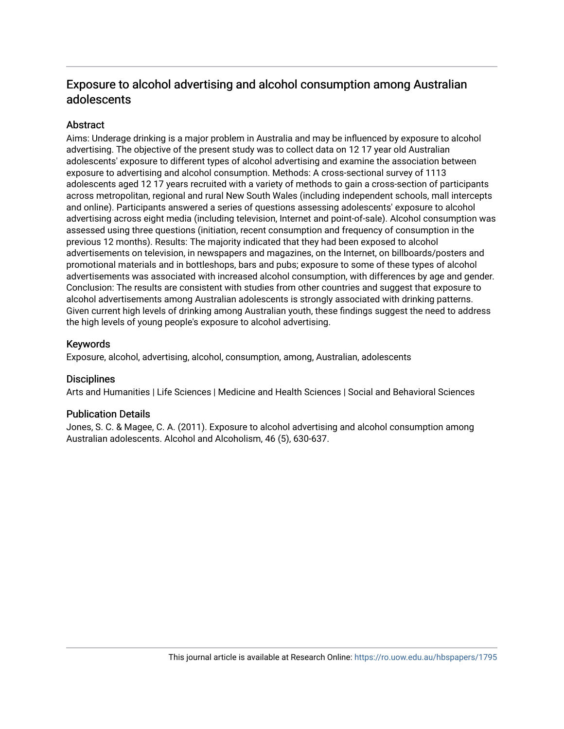## Exposure to alcohol advertising and alcohol consumption among Australian adolescents

## Abstract

Aims: Underage drinking is a major problem in Australia and may be influenced by exposure to alcohol advertising. The objective of the present study was to collect data on 12 17 year old Australian adolescents' exposure to different types of alcohol advertising and examine the association between exposure to advertising and alcohol consumption. Methods: A cross-sectional survey of 1113 adolescents aged 12 17 years recruited with a variety of methods to gain a cross-section of participants across metropolitan, regional and rural New South Wales (including independent schools, mall intercepts and online). Participants answered a series of questions assessing adolescents' exposure to alcohol advertising across eight media (including television, Internet and point-of-sale). Alcohol consumption was assessed using three questions (initiation, recent consumption and frequency of consumption in the previous 12 months). Results: The majority indicated that they had been exposed to alcohol advertisements on television, in newspapers and magazines, on the Internet, on billboards/posters and promotional materials and in bottleshops, bars and pubs; exposure to some of these types of alcohol advertisements was associated with increased alcohol consumption, with differences by age and gender. Conclusion: The results are consistent with studies from other countries and suggest that exposure to alcohol advertisements among Australian adolescents is strongly associated with drinking patterns. Given current high levels of drinking among Australian youth, these findings suggest the need to address the high levels of young people's exposure to alcohol advertising.

## Keywords

Exposure, alcohol, advertising, alcohol, consumption, among, Australian, adolescents

## **Disciplines**

Arts and Humanities | Life Sciences | Medicine and Health Sciences | Social and Behavioral Sciences

## Publication Details

Jones, S. C. & Magee, C. A. (2011). Exposure to alcohol advertising and alcohol consumption among Australian adolescents. Alcohol and Alcoholism, 46 (5), 630-637.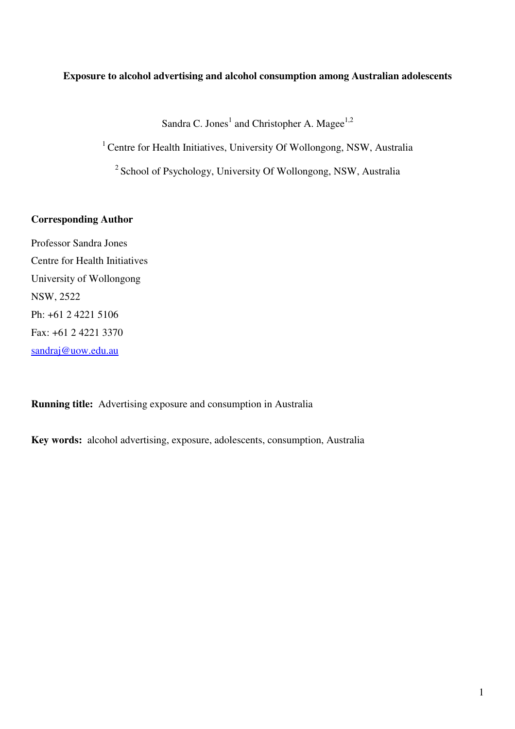## **Exposure to alcohol advertising and alcohol consumption among Australian adolescents**

Sandra C. Jones<sup>1</sup> and Christopher A. Magee<sup>1,2</sup>

<sup>1</sup> Centre for Health Initiatives, University Of Wollongong, NSW, Australia

<sup>2</sup> School of Psychology, University Of Wollongong, NSW, Australia

## **Corresponding Author**

Professor Sandra Jones Centre for Health Initiatives University of Wollongong NSW, 2522 Ph: +61 2 4221 5106 Fax: +61 2 4221 3370 sandraj@uow.edu.au

**Running title:** Advertising exposure and consumption in Australia

**Key words:** alcohol advertising, exposure, adolescents, consumption, Australia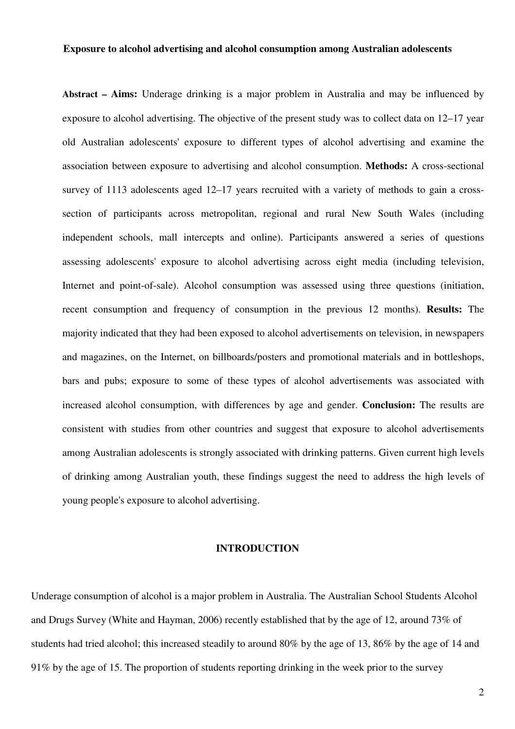#### **Exposure to alcohol advertising and alcohol consumption among Australian adolescents**

**Abstract – Aims:** Underage drinking is a major problem in Australia and may be influenced by exposure to alcohol advertising. The objective of the present study was to collect data on 12–17 year old Australian adolescents' exposure to different types of alcohol advertising and examine the association between exposure to advertising and alcohol consumption. **Methods:** A cross-sectional survey of 1113 adolescents aged 12–17 years recruited with a variety of methods to gain a crosssection of participants across metropolitan, regional and rural New South Wales (including independent schools, mall intercepts and online). Participants answered a series of questions assessing adolescents' exposure to alcohol advertising across eight media (including television, Internet and point-of-sale). Alcohol consumption was assessed using three questions (initiation, recent consumption and frequency of consumption in the previous 12 months). **Results:** The majority indicated that they had been exposed to alcohol advertisements on television, in newspapers and magazines, on the Internet, on billboards/posters and promotional materials and in bottleshops, bars and pubs; exposure to some of these types of alcohol advertisements was associated with increased alcohol consumption, with differences by age and gender. **Conclusion:** The results are consistent with studies from other countries and suggest that exposure to alcohol advertisements among Australian adolescents is strongly associated with drinking patterns. Given current high levels of drinking among Australian youth, these findings suggest the need to address the high levels of young people's exposure to alcohol advertising.

### **INTRODUCTION**

Underage consumption of alcohol is a major problem in Australia. The Australian School Students Alcohol and Drugs Survey (White and Hayman, 2006) recently established that by the age of 12, around 73% of students had tried alcohol; this increased steadily to around 80% by the age of 13, 86% by the age of 14 and 91% by the age of 15. The proportion of students reporting drinking in the week prior to the survey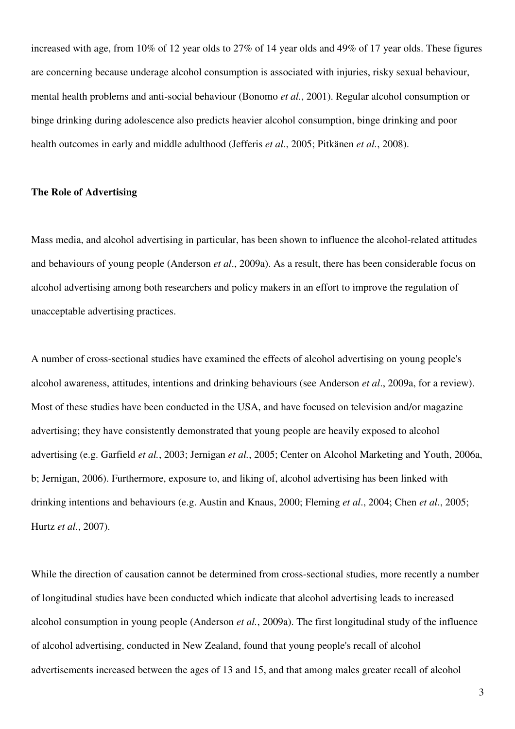increased with age, from 10% of 12 year olds to 27% of 14 year olds and 49% of 17 year olds. These figures are concerning because underage alcohol consumption is associated with injuries, risky sexual behaviour, mental health problems and anti-social behaviour (Bonomo *et al.*, 2001). Regular alcohol consumption or binge drinking during adolescence also predicts heavier alcohol consumption, binge drinking and poor health outcomes in early and middle adulthood (Jefferis *et al*., 2005; Pitkänen *et al.*, 2008).

#### **The Role of Advertising**

Mass media, and alcohol advertising in particular, has been shown to influence the alcohol-related attitudes and behaviours of young people (Anderson *et al*., 2009a). As a result, there has been considerable focus on alcohol advertising among both researchers and policy makers in an effort to improve the regulation of unacceptable advertising practices.

A number of cross-sectional studies have examined the effects of alcohol advertising on young people's alcohol awareness, attitudes, intentions and drinking behaviours (see Anderson *et al*., 2009a, for a review). Most of these studies have been conducted in the USA, and have focused on television and/or magazine advertising; they have consistently demonstrated that young people are heavily exposed to alcohol advertising (e.g. Garfield *et al.*, 2003; Jernigan *et al.*, 2005; Center on Alcohol Marketing and Youth, 2006a, b; Jernigan, 2006). Furthermore, exposure to, and liking of, alcohol advertising has been linked with drinking intentions and behaviours (e.g. Austin and Knaus, 2000; Fleming *et al*., 2004; Chen *et al*., 2005; Hurtz *et al.*, 2007).

While the direction of causation cannot be determined from cross-sectional studies, more recently a number of longitudinal studies have been conducted which indicate that alcohol advertising leads to increased alcohol consumption in young people (Anderson *et al.*, 2009a). The first longitudinal study of the influence of alcohol advertising, conducted in New Zealand, found that young people's recall of alcohol advertisements increased between the ages of 13 and 15, and that among males greater recall of alcohol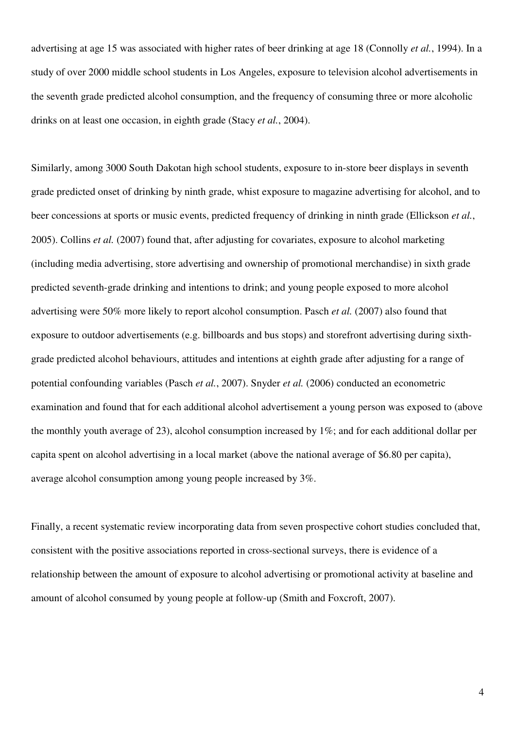advertising at age 15 was associated with higher rates of beer drinking at age 18 (Connolly *et al.*, 1994). In a study of over 2000 middle school students in Los Angeles, exposure to television alcohol advertisements in the seventh grade predicted alcohol consumption, and the frequency of consuming three or more alcoholic drinks on at least one occasion, in eighth grade (Stacy *et al.*, 2004).

Similarly, among 3000 South Dakotan high school students, exposure to in-store beer displays in seventh grade predicted onset of drinking by ninth grade, whist exposure to magazine advertising for alcohol, and to beer concessions at sports or music events, predicted frequency of drinking in ninth grade (Ellickson *et al.*, 2005). Collins *et al.* (2007) found that, after adjusting for covariates, exposure to alcohol marketing (including media advertising, store advertising and ownership of promotional merchandise) in sixth grade predicted seventh-grade drinking and intentions to drink; and young people exposed to more alcohol advertising were 50% more likely to report alcohol consumption. Pasch *et al.* (2007) also found that exposure to outdoor advertisements (e.g. billboards and bus stops) and storefront advertising during sixthgrade predicted alcohol behaviours, attitudes and intentions at eighth grade after adjusting for a range of potential confounding variables (Pasch *et al.*, 2007). Snyder *et al.* (2006) conducted an econometric examination and found that for each additional alcohol advertisement a young person was exposed to (above the monthly youth average of 23), alcohol consumption increased by 1%; and for each additional dollar per capita spent on alcohol advertising in a local market (above the national average of \$6.80 per capita), average alcohol consumption among young people increased by 3%.

Finally, a recent systematic review incorporating data from seven prospective cohort studies concluded that, consistent with the positive associations reported in cross-sectional surveys, there is evidence of a relationship between the amount of exposure to alcohol advertising or promotional activity at baseline and amount of alcohol consumed by young people at follow-up (Smith and Foxcroft, 2007).

4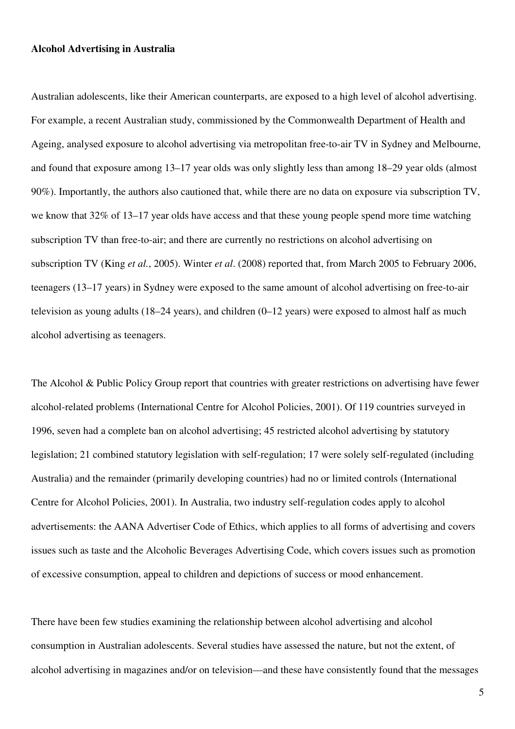#### **Alcohol Advertising in Australia**

Australian adolescents, like their American counterparts, are exposed to a high level of alcohol advertising. For example, a recent Australian study, commissioned by the Commonwealth Department of Health and Ageing, analysed exposure to alcohol advertising via metropolitan free-to-air TV in Sydney and Melbourne, and found that exposure among 13–17 year olds was only slightly less than among 18–29 year olds (almost 90%). Importantly, the authors also cautioned that, while there are no data on exposure via subscription TV, we know that 32% of 13–17 year olds have access and that these young people spend more time watching subscription TV than free-to-air; and there are currently no restrictions on alcohol advertising on subscription TV (King *et al.*, 2005). Winter *et al*. (2008) reported that, from March 2005 to February 2006, teenagers (13–17 years) in Sydney were exposed to the same amount of alcohol advertising on free-to-air television as young adults (18–24 years), and children (0–12 years) were exposed to almost half as much alcohol advertising as teenagers.

The Alcohol & Public Policy Group report that countries with greater restrictions on advertising have fewer alcohol-related problems (International Centre for Alcohol Policies, 2001). Of 119 countries surveyed in 1996, seven had a complete ban on alcohol advertising; 45 restricted alcohol advertising by statutory legislation; 21 combined statutory legislation with self-regulation; 17 were solely self-regulated (including Australia) and the remainder (primarily developing countries) had no or limited controls (International Centre for Alcohol Policies, 2001). In Australia, two industry self-regulation codes apply to alcohol advertisements: the AANA Advertiser Code of Ethics, which applies to all forms of advertising and covers issues such as taste and the Alcoholic Beverages Advertising Code, which covers issues such as promotion of excessive consumption, appeal to children and depictions of success or mood enhancement.

There have been few studies examining the relationship between alcohol advertising and alcohol consumption in Australian adolescents. Several studies have assessed the nature, but not the extent, of alcohol advertising in magazines and/or on television—and these have consistently found that the messages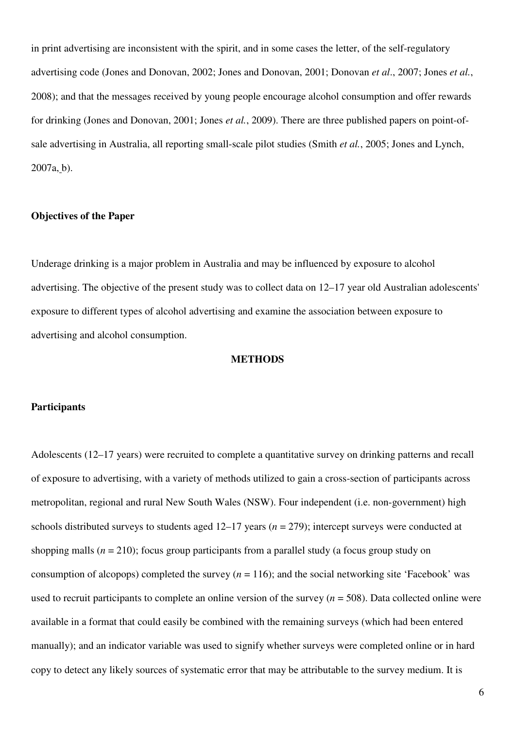in print advertising are inconsistent with the spirit, and in some cases the letter, of the self-regulatory advertising code (Jones and Donovan, 2002; Jones and Donovan, 2001; Donovan *et al*., 2007; Jones *et al.*, 2008); and that the messages received by young people encourage alcohol consumption and offer rewards for drinking (Jones and Donovan, 2001; Jones *et al.*, 2009). There are three published papers on point-ofsale advertising in Australia, all reporting small-scale pilot studies (Smith *et al.*, 2005; Jones and Lynch, 2007a, b).

## **Objectives of the Paper**

Underage drinking is a major problem in Australia and may be influenced by exposure to alcohol advertising. The objective of the present study was to collect data on 12–17 year old Australian adolescents' exposure to different types of alcohol advertising and examine the association between exposure to advertising and alcohol consumption.

#### **METHODS**

#### **Participants**

Adolescents (12–17 years) were recruited to complete a quantitative survey on drinking patterns and recall of exposure to advertising, with a variety of methods utilized to gain a cross-section of participants across metropolitan, regional and rural New South Wales (NSW). Four independent (i.e. non-government) high schools distributed surveys to students aged 12–17 years (*n* = 279); intercept surveys were conducted at shopping malls (*n* = 210); focus group participants from a parallel study (a focus group study on consumption of alcopops) completed the survey  $(n = 116)$ ; and the social networking site 'Facebook' was used to recruit participants to complete an online version of the survey (*n* = 508). Data collected online were available in a format that could easily be combined with the remaining surveys (which had been entered manually); and an indicator variable was used to signify whether surveys were completed online or in hard copy to detect any likely sources of systematic error that may be attributable to the survey medium. It is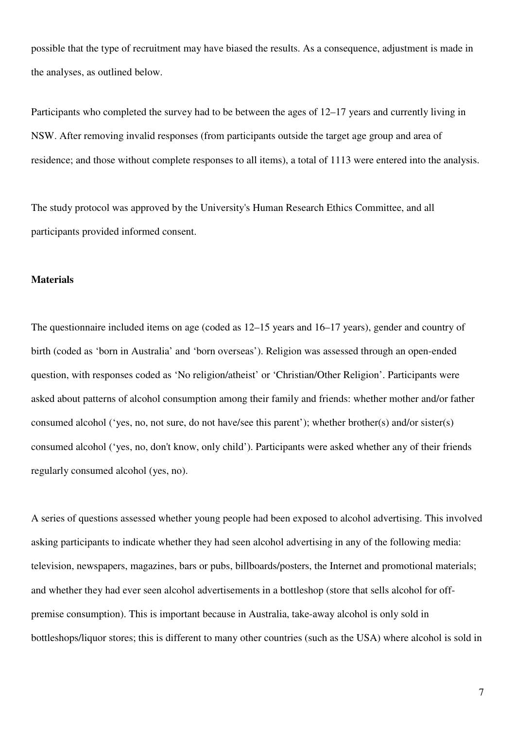possible that the type of recruitment may have biased the results. As a consequence, adjustment is made in the analyses, as outlined below.

Participants who completed the survey had to be between the ages of 12–17 years and currently living in NSW. After removing invalid responses (from participants outside the target age group and area of residence; and those without complete responses to all items), a total of 1113 were entered into the analysis.

The study protocol was approved by the University's Human Research Ethics Committee, and all participants provided informed consent.

#### **Materials**

The questionnaire included items on age (coded as 12–15 years and 16–17 years), gender and country of birth (coded as 'born in Australia' and 'born overseas'). Religion was assessed through an open-ended question, with responses coded as 'No religion/atheist' or 'Christian/Other Religion'. Participants were asked about patterns of alcohol consumption among their family and friends: whether mother and/or father consumed alcohol ('yes, no, not sure, do not have/see this parent'); whether brother(s) and/or sister(s) consumed alcohol ('yes, no, don't know, only child'). Participants were asked whether any of their friends regularly consumed alcohol (yes, no).

A series of questions assessed whether young people had been exposed to alcohol advertising. This involved asking participants to indicate whether they had seen alcohol advertising in any of the following media: television, newspapers, magazines, bars or pubs, billboards/posters, the Internet and promotional materials; and whether they had ever seen alcohol advertisements in a bottleshop (store that sells alcohol for offpremise consumption). This is important because in Australia, take-away alcohol is only sold in bottleshops/liquor stores; this is different to many other countries (such as the USA) where alcohol is sold in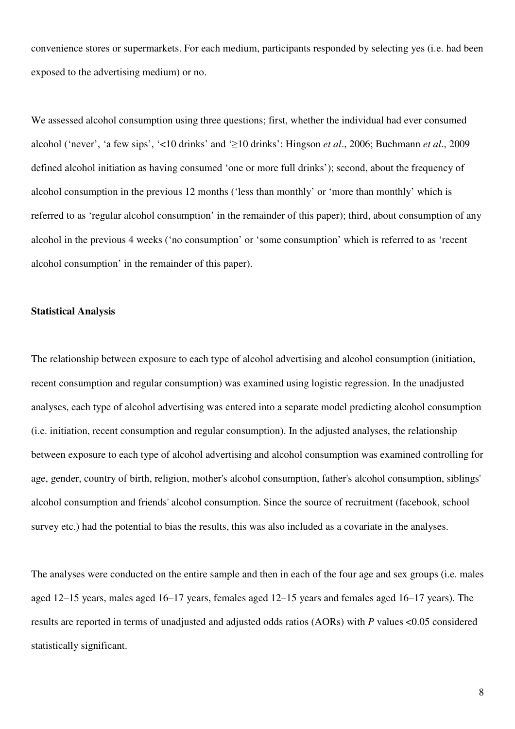convenience stores or supermarkets. For each medium, participants responded by selecting yes (i.e. had been exposed to the advertising medium) or no.

We assessed alcohol consumption using three questions; first, whether the individual had ever consumed alcohol ('never', 'a few sips', '<10 drinks' and '≥10 drinks': Hingson *et al*., 2006; Buchmann *et al*., 2009 defined alcohol initiation as having consumed 'one or more full drinks'); second, about the frequency of alcohol consumption in the previous 12 months ('less than monthly' or 'more than monthly' which is referred to as 'regular alcohol consumption' in the remainder of this paper); third, about consumption of any alcohol in the previous 4 weeks ('no consumption' or 'some consumption' which is referred to as 'recent alcohol consumption' in the remainder of this paper).

#### **Statistical Analysis**

The relationship between exposure to each type of alcohol advertising and alcohol consumption (initiation, recent consumption and regular consumption) was examined using logistic regression. In the unadjusted analyses, each type of alcohol advertising was entered into a separate model predicting alcohol consumption (i.e. initiation, recent consumption and regular consumption). In the adjusted analyses, the relationship between exposure to each type of alcohol advertising and alcohol consumption was examined controlling for age, gender, country of birth, religion, mother's alcohol consumption, father's alcohol consumption, siblings' alcohol consumption and friends' alcohol consumption. Since the source of recruitment (facebook, school survey etc.) had the potential to bias the results, this was also included as a covariate in the analyses.

The analyses were conducted on the entire sample and then in each of the four age and sex groups (i.e. males aged 12–15 years, males aged 16–17 years, females aged 12–15 years and females aged 16–17 years). The results are reported in terms of unadjusted and adjusted odds ratios (AORs) with *P* values <0.05 considered statistically significant.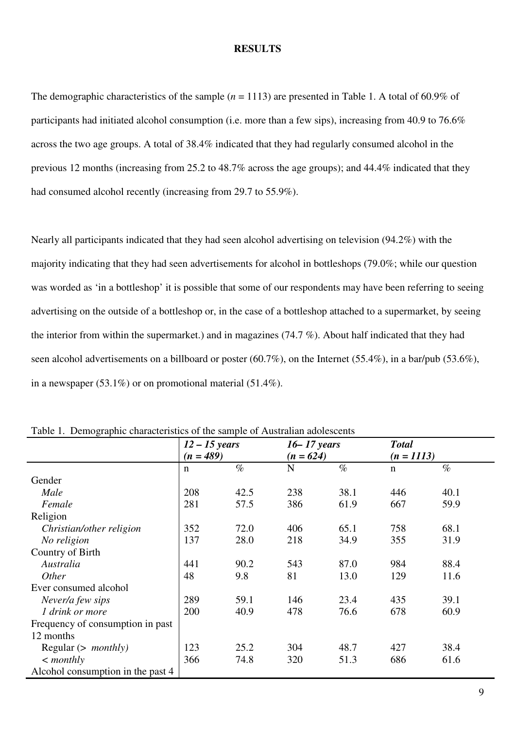#### **RESULTS**

The demographic characteristics of the sample (*n* = 1113) are presented in Table 1. A total of 60.9% of participants had initiated alcohol consumption (i.e. more than a few sips), increasing from 40.9 to 76.6% across the two age groups. A total of 38.4% indicated that they had regularly consumed alcohol in the previous 12 months (increasing from 25.2 to 48.7% across the age groups); and 44.4% indicated that they had consumed alcohol recently (increasing from 29.7 to 55.9%).

Nearly all participants indicated that they had seen alcohol advertising on television (94.2%) with the majority indicating that they had seen advertisements for alcohol in bottleshops (79.0%; while our question was worded as 'in a bottleshop' it is possible that some of our respondents may have been referring to seeing advertising on the outside of a bottleshop or, in the case of a bottleshop attached to a supermarket, by seeing the interior from within the supermarket.) and in magazines (74.7 %). About half indicated that they had seen alcohol advertisements on a billboard or poster (60.7%), on the Internet (55.4%), in a bar/pub (53.6%), in a newspaper (53.1%) or on promotional material (51.4%).

|                                   | $12 - 15$ years<br>$(n = 489)$ |      | $16 - 17$ years<br>$(n = 624)$ |      | <b>Total</b> |      |
|-----------------------------------|--------------------------------|------|--------------------------------|------|--------------|------|
|                                   |                                |      |                                |      | $(n = 1113)$ |      |
|                                   | $\mathbf n$                    | $\%$ | N                              | $\%$ | $\mathbf n$  | $\%$ |
| Gender                            |                                |      |                                |      |              |      |
| Male                              | 208                            | 42.5 | 238                            | 38.1 | 446          | 40.1 |
| Female                            | 281                            | 57.5 | 386                            | 61.9 | 667          | 59.9 |
| Religion                          |                                |      |                                |      |              |      |
| Christian/other religion          | 352                            | 72.0 | 406                            | 65.1 | 758          | 68.1 |
| No religion                       | 137                            | 28.0 | 218                            | 34.9 | 355          | 31.9 |
| Country of Birth                  |                                |      |                                |      |              |      |
| Australia                         | 441                            | 90.2 | 543                            | 87.0 | 984          | 88.4 |
| <i>Other</i>                      | 48                             | 9.8  | 81                             | 13.0 | 129          | 11.6 |
| Ever consumed alcohol             |                                |      |                                |      |              |      |
| Never/a few sips                  | 289                            | 59.1 | 146                            | 23.4 | 435          | 39.1 |
| 1 drink or more                   | 200                            | 40.9 | 478                            | 76.6 | 678          | 60.9 |
| Frequency of consumption in past  |                                |      |                                |      |              |      |
| 12 months                         |                                |      |                                |      |              |      |
| Regular $(>$ <i>monthly</i> )     | 123                            | 25.2 | 304                            | 48.7 | 427          | 38.4 |
| $\langle$ monthly                 | 366                            | 74.8 | 320                            | 51.3 | 686          | 61.6 |
| Alcohol consumption in the past 4 |                                |      |                                |      |              |      |

Table 1. Demographic characteristics of the sample of Australian adolescents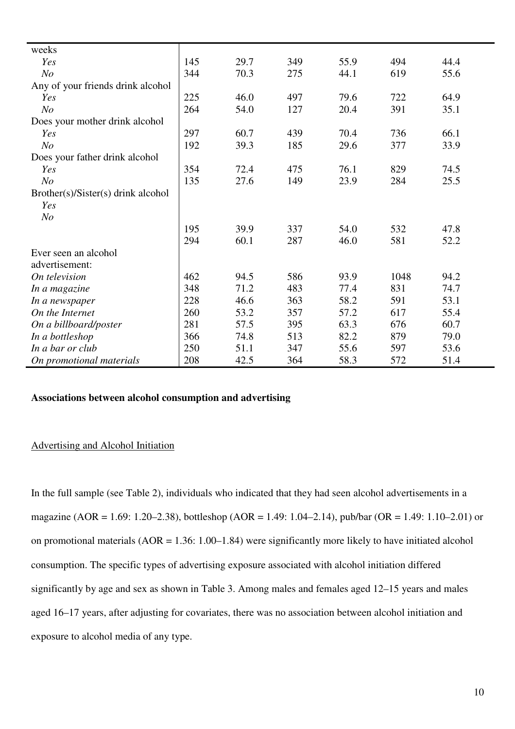| weeks                              |     |      |     |      |      |      |
|------------------------------------|-----|------|-----|------|------|------|
| Yes                                | 145 | 29.7 | 349 | 55.9 | 494  | 44.4 |
| N <sub>o</sub>                     | 344 | 70.3 | 275 | 44.1 | 619  | 55.6 |
| Any of your friends drink alcohol  |     |      |     |      |      |      |
| Yes                                | 225 | 46.0 | 497 | 79.6 | 722  | 64.9 |
| N <sub>o</sub>                     | 264 | 54.0 | 127 | 20.4 | 391  | 35.1 |
| Does your mother drink alcohol     |     |      |     |      |      |      |
| Yes                                | 297 | 60.7 | 439 | 70.4 | 736  | 66.1 |
| N <sub>o</sub>                     | 192 | 39.3 | 185 | 29.6 | 377  | 33.9 |
| Does your father drink alcohol     |     |      |     |      |      |      |
| Yes                                | 354 | 72.4 | 475 | 76.1 | 829  | 74.5 |
| N <sub>O</sub>                     | 135 | 27.6 | 149 | 23.9 | 284  | 25.5 |
| Brother(s)/Sister(s) drink alcohol |     |      |     |      |      |      |
| Yes                                |     |      |     |      |      |      |
| N <sub>O</sub>                     |     |      |     |      |      |      |
|                                    | 195 | 39.9 | 337 | 54.0 | 532  | 47.8 |
|                                    | 294 | 60.1 | 287 | 46.0 | 581  | 52.2 |
| Ever seen an alcohol               |     |      |     |      |      |      |
| advertisement:                     |     |      |     |      |      |      |
| On television                      | 462 | 94.5 | 586 | 93.9 | 1048 | 94.2 |
| In a magazine                      | 348 | 71.2 | 483 | 77.4 | 831  | 74.7 |
| In a newspaper                     | 228 | 46.6 | 363 | 58.2 | 591  | 53.1 |
| On the Internet                    | 260 | 53.2 | 357 | 57.2 | 617  | 55.4 |
| On a billboard/poster              | 281 | 57.5 | 395 | 63.3 | 676  | 60.7 |
| In a bottleshop                    | 366 | 74.8 | 513 | 82.2 | 879  | 79.0 |
| In a bar or club                   | 250 | 51.1 | 347 | 55.6 | 597  | 53.6 |
| On promotional materials           | 208 | 42.5 | 364 | 58.3 | 572  | 51.4 |

## **Associations between alcohol consumption and advertising**

#### Advertising and Alcohol Initiation

In the full sample (see Table 2), individuals who indicated that they had seen alcohol advertisements in a magazine (AOR = 1.69: 1.20–2.38), bottleshop (AOR = 1.49: 1.04–2.14), pub/bar (OR = 1.49: 1.10–2.01) or on promotional materials (AOR = 1.36: 1.00–1.84) were significantly more likely to have initiated alcohol consumption. The specific types of advertising exposure associated with alcohol initiation differed significantly by age and sex as shown in Table 3. Among males and females aged 12–15 years and males aged 16–17 years, after adjusting for covariates, there was no association between alcohol initiation and exposure to alcohol media of any type.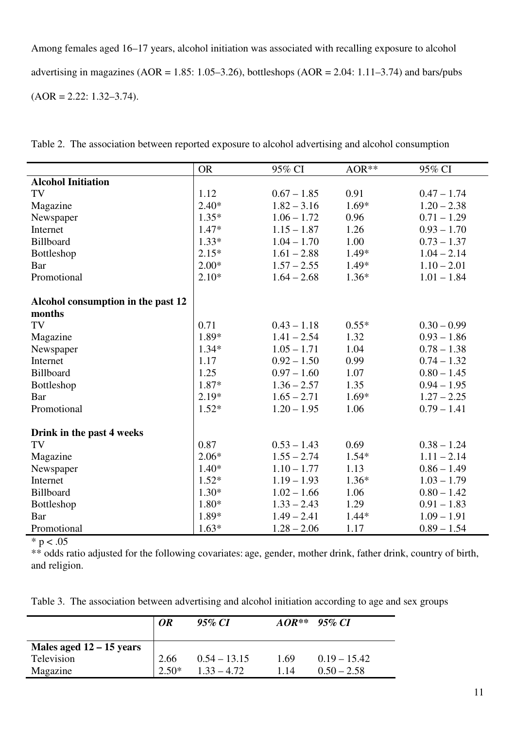Among females aged 16–17 years, alcohol initiation was associated with recalling exposure to alcohol advertising in magazines (AOR =  $1.85$ :  $1.05-3.26$ ), bottleshops (AOR =  $2.04$ :  $1.11-3.74$ ) and bars/pubs  $(AOR = 2.22: 1.32 - 3.74).$ 

|                                    | <b>OR</b> | 95% CI        | AOR**   | 95% CI        |
|------------------------------------|-----------|---------------|---------|---------------|
| <b>Alcohol Initiation</b>          |           |               |         |               |
| TV                                 | 1.12      | $0.67 - 1.85$ | 0.91    | $0.47 - 1.74$ |
| Magazine                           | $2.40*$   | $1.82 - 3.16$ | $1.69*$ | $1.20 - 2.38$ |
| Newspaper                          | $1.35*$   | $1.06 - 1.72$ | 0.96    | $0.71 - 1.29$ |
| Internet                           | $1.47*$   | $1.15 - 1.87$ | 1.26    | $0.93 - 1.70$ |
| Billboard                          | $1.33*$   | $1.04 - 1.70$ | 1.00    | $0.73 - 1.37$ |
| Bottleshop                         | $2.15*$   | $1.61 - 2.88$ | 1.49*   | $1.04 - 2.14$ |
| <b>Bar</b>                         | $2.00*$   | $1.57 - 2.55$ | 1.49*   | $1.10 - 2.01$ |
| Promotional                        | $2.10*$   | $1.64 - 2.68$ | $1.36*$ | $1.01 - 1.84$ |
| Alcohol consumption in the past 12 |           |               |         |               |
| months                             |           |               |         |               |
| TV                                 | 0.71      | $0.43 - 1.18$ | $0.55*$ | $0.30 - 0.99$ |
| Magazine                           | 1.89*     | $1.41 - 2.54$ | 1.32    | $0.93 - 1.86$ |
| Newspaper                          | $1.34*$   | $1.05 - 1.71$ | 1.04    | $0.78 - 1.38$ |
| Internet                           | 1.17      | $0.92 - 1.50$ | 0.99    | $0.74 - 1.32$ |
| Billboard                          | 1.25      | $0.97 - 1.60$ | 1.07    | $0.80 - 1.45$ |
| Bottleshop                         | 1.87*     | $1.36 - 2.57$ | 1.35    | $0.94 - 1.95$ |
| Bar                                | $2.19*$   | $1.65 - 2.71$ | $1.69*$ | $1.27 - 2.25$ |
| Promotional                        | $1.52*$   | $1.20 - 1.95$ | 1.06    | $0.79 - 1.41$ |
|                                    |           |               |         |               |
| Drink in the past 4 weeks          |           |               |         |               |
| TV                                 | 0.87      | $0.53 - 1.43$ | 0.69    | $0.38 - 1.24$ |
| Magazine                           | $2.06*$   | $1.55 - 2.74$ | $1.54*$ | $1.11 - 2.14$ |
| Newspaper                          | $1.40*$   | $1.10 - 1.77$ | 1.13    | $0.86 - 1.49$ |
| Internet                           | $1.52*$   | $1.19 - 1.93$ | $1.36*$ | $1.03 - 1.79$ |
| Billboard                          | $1.30*$   | $1.02 - 1.66$ | 1.06    | $0.80 - 1.42$ |
| Bottleshop                         | 1.80*     | $1.33 - 2.43$ | 1.29    | $0.91 - 1.83$ |
| Bar                                | 1.89*     | $1.49 - 2.41$ | $1.44*$ | $1.09 - 1.91$ |
| Promotional                        | $1.63*$   | $1.28 - 2.06$ | 1.17    | $0.89 - 1.54$ |

Table 2. The association between reported exposure to alcohol advertising and alcohol consumption

 $* p < .05$ 

\*\* odds ratio adjusted for the following covariates: age, gender, mother drink, father drink, country of birth, and religion.

Table 3. The association between advertising and alcohol initiation according to age and sex groups

|                            | <b>OR</b> | 95% CI         | $AOR**$ | – 95% CI       |
|----------------------------|-----------|----------------|---------|----------------|
| Males aged $12 - 15$ years |           |                |         |                |
| Television                 | 2.66      | $0.54 - 13.15$ | 1.69    | $0.19 - 15.42$ |
| Magazine                   | $2.50*$   | $1.33 - 4.72$  | 1.14    | $0.50 - 2.58$  |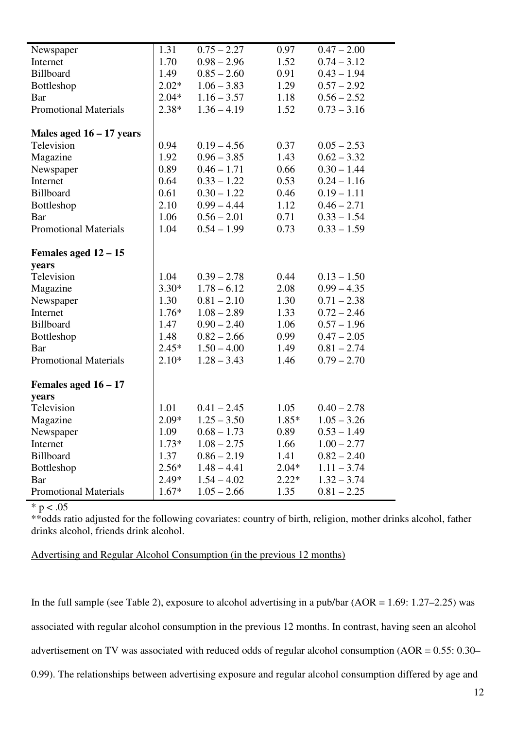| Newspaper                    | 1.31    | $0.75 - 2.27$ | 0.97    | $0.47 - 2.00$ |
|------------------------------|---------|---------------|---------|---------------|
| Internet                     | 1.70    | $0.98 - 2.96$ | 1.52    | $0.74 - 3.12$ |
| Billboard                    | 1.49    | $0.85 - 2.60$ | 0.91    | $0.43 - 1.94$ |
| Bottleshop                   | $2.02*$ | $1.06 - 3.83$ | 1.29    | $0.57 - 2.92$ |
| Bar                          | $2.04*$ | $1.16 - 3.57$ | 1.18    | $0.56 - 2.52$ |
| <b>Promotional Materials</b> | $2.38*$ | $1.36 - 4.19$ | 1.52    | $0.73 - 3.16$ |
| Males aged $16 - 17$ years   |         |               |         |               |
| Television                   | 0.94    | $0.19 - 4.56$ | 0.37    | $0.05 - 2.53$ |
| Magazine                     | 1.92    | $0.96 - 3.85$ | 1.43    | $0.62 - 3.32$ |
| Newspaper                    | 0.89    | $0.46 - 1.71$ | 0.66    | $0.30 - 1.44$ |
| Internet                     | 0.64    | $0.33 - 1.22$ | 0.53    | $0.24 - 1.16$ |
| Billboard                    | 0.61    | $0.30 - 1.22$ | 0.46    | $0.19 - 1.11$ |
| Bottleshop                   | 2.10    | $0.99 - 4.44$ | 1.12    | $0.46 - 2.71$ |
| <b>Bar</b>                   | 1.06    | $0.56 - 2.01$ | 0.71    | $0.33 - 1.54$ |
| <b>Promotional Materials</b> | 1.04    | $0.54 - 1.99$ | 0.73    | $0.33 - 1.59$ |
| Females aged $12 - 15$       |         |               |         |               |
| years                        |         |               |         |               |
| Television                   | 1.04    | $0.39 - 2.78$ | 0.44    | $0.13 - 1.50$ |
| Magazine                     | $3.30*$ | $1.78 - 6.12$ | 2.08    | $0.99 - 4.35$ |
| Newspaper                    | 1.30    | $0.81 - 2.10$ | 1.30    | $0.71 - 2.38$ |
| Internet                     | $1.76*$ | $1.08 - 2.89$ | 1.33    | $0.72 - 2.46$ |
| Billboard                    | 1.47    | $0.90 - 2.40$ | 1.06    | $0.57 - 1.96$ |
| Bottleshop                   | 1.48    | $0.82 - 2.66$ | 0.99    | $0.47 - 2.05$ |
| Bar                          | $2.45*$ | $1.50 - 4.00$ | 1.49    | $0.81 - 2.74$ |
| <b>Promotional Materials</b> | $2.10*$ | $1.28 - 3.43$ | 1.46    | $0.79 - 2.70$ |
| Females aged $16 - 17$       |         |               |         |               |
| years                        |         |               |         |               |
| Television                   | 1.01    | $0.41 - 2.45$ | 1.05    | $0.40 - 2.78$ |
| Magazine                     | $2.09*$ | $1.25 - 3.50$ | $1.85*$ | $1.05 - 3.26$ |
| Newspaper                    | 1.09    | $0.68 - 1.73$ | 0.89    | $0.53 - 1.49$ |
| Internet                     | $1.73*$ | $1.08 - 2.75$ | 1.66    | $1.00 - 2.77$ |
| Billboard                    | 1.37    | $0.86 - 2.19$ | 1.41    | $0.82 - 2.40$ |
| Bottleshop                   | $2.56*$ | $1.48 - 4.41$ | $2.04*$ | $1.11 - 3.74$ |
| Bar                          | $2.49*$ | $1.54 - 4.02$ | $2.22*$ | $1.32 - 3.74$ |
| <b>Promotional Materials</b> | $1.67*$ | $1.05 - 2.66$ | 1.35    | $0.81 - 2.25$ |

 $* p < .05$ 

\*\*odds ratio adjusted for the following covariates: country of birth, religion, mother drinks alcohol, father drinks alcohol, friends drink alcohol.

### Advertising and Regular Alcohol Consumption (in the previous 12 months)

In the full sample (see Table 2), exposure to alcohol advertising in a pub/bar  $(AOR = 1.69: 1.27-2.25)$  was associated with regular alcohol consumption in the previous 12 months. In contrast, having seen an alcohol advertisement on TV was associated with reduced odds of regular alcohol consumption (AOR = 0.55: 0.30– 0.99). The relationships between advertising exposure and regular alcohol consumption differed by age and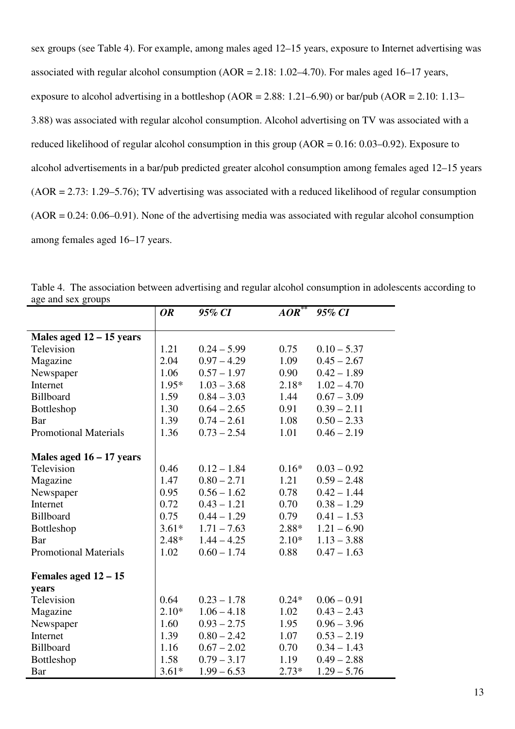sex groups (see Table 4). For example, among males aged 12–15 years, exposure to Internet advertising was associated with regular alcohol consumption  $(AOR = 2.18: 1.02–4.70)$ . For males aged 16–17 years, exposure to alcohol advertising in a bottleshop ( $AOR = 2.88$ : 1.21–6.90) or bar/pub ( $AOR = 2.10$ : 1.13– 3.88) was associated with regular alcohol consumption. Alcohol advertising on TV was associated with a reduced likelihood of regular alcohol consumption in this group (AOR = 0.16: 0.03–0.92). Exposure to alcohol advertisements in a bar/pub predicted greater alcohol consumption among females aged 12–15 years (AOR = 2.73: 1.29–5.76); TV advertising was associated with a reduced likelihood of regular consumption  $(AOR = 0.24: 0.06-0.91)$ . None of the advertising media was associated with regular alcohol consumption among females aged 16–17 years.

|                              | <b>OR</b> | 95% CI        | AOR     | 95% CI        |
|------------------------------|-----------|---------------|---------|---------------|
|                              |           |               |         |               |
| Males aged $12 - 15$ years   |           |               |         |               |
| Television                   | 1.21      | $0.24 - 5.99$ | 0.75    | $0.10 - 5.37$ |
| Magazine                     | 2.04      | $0.97 - 4.29$ | 1.09    | $0.45 - 2.67$ |
| Newspaper                    | 1.06      | $0.57 - 1.97$ | 0.90    | $0.42 - 1.89$ |
| Internet                     | $1.95*$   | $1.03 - 3.68$ | $2.18*$ | $1.02 - 4.70$ |
| <b>Billboard</b>             | 1.59      | $0.84 - 3.03$ | 1.44    | $0.67 - 3.09$ |
| Bottleshop                   | 1.30      | $0.64 - 2.65$ | 0.91    | $0.39 - 2.11$ |
| Bar                          | 1.39      | $0.74 - 2.61$ | 1.08    | $0.50 - 2.33$ |
| <b>Promotional Materials</b> | 1.36      | $0.73 - 2.54$ | 1.01    | $0.46 - 2.19$ |
|                              |           |               |         |               |
| Males aged $16 - 17$ years   |           |               |         |               |
| Television                   | 0.46      | $0.12 - 1.84$ | $0.16*$ | $0.03 - 0.92$ |
| Magazine                     | 1.47      | $0.80 - 2.71$ | 1.21    | $0.59 - 2.48$ |
| Newspaper                    | 0.95      | $0.56 - 1.62$ | 0.78    | $0.42 - 1.44$ |
| Internet                     | 0.72      | $0.43 - 1.21$ | 0.70    | $0.38 - 1.29$ |
| Billboard                    | 0.75      | $0.44 - 1.29$ | 0.79    | $0.41 - 1.53$ |
| Bottleshop                   | $3.61*$   | $1.71 - 7.63$ | $2.88*$ | $1.21 - 6.90$ |
| Bar                          | $2.48*$   | $1.44 - 4.25$ | $2.10*$ | $1.13 - 3.88$ |
| <b>Promotional Materials</b> | 1.02      | $0.60 - 1.74$ | 0.88    | $0.47 - 1.63$ |
| Females aged $12 - 15$       |           |               |         |               |
| years                        |           |               |         |               |
| Television                   | 0.64      | $0.23 - 1.78$ | $0.24*$ | $0.06 - 0.91$ |
| Magazine                     | $2.10*$   | $1.06 - 4.18$ | 1.02    | $0.43 - 2.43$ |
| Newspaper                    | 1.60      | $0.93 - 2.75$ | 1.95    | $0.96 - 3.96$ |
| Internet                     | 1.39      | $0.80 - 2.42$ | 1.07    | $0.53 - 2.19$ |
| Billboard                    | 1.16      | $0.67 - 2.02$ | 0.70    | $0.34 - 1.43$ |
| Bottleshop                   | 1.58      | $0.79 - 3.17$ | 1.19    | $0.49 - 2.88$ |
|                              |           |               |         |               |
| Bar                          | $3.61*$   | $1.99 - 6.53$ | $2.73*$ | $1.29 - 5.76$ |

Table 4. The association between advertising and regular alcohol consumption in adolescents according to age and sex groups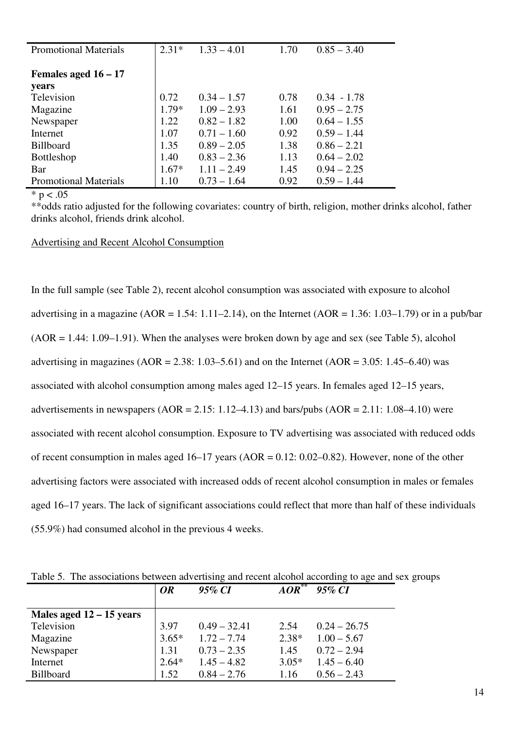| <b>Promotional Materials</b> | $2.31*$ | $1.33 - 4.01$ | 1.70 | $0.85 - 3.40$ |
|------------------------------|---------|---------------|------|---------------|
| Females aged $16 - 17$       |         |               |      |               |
| years                        |         |               |      |               |
| Television                   | 0.72    | $0.34 - 1.57$ | 0.78 | $0.34 - 1.78$ |
| Magazine                     | $1.79*$ | $1.09 - 2.93$ | 1.61 | $0.95 - 2.75$ |
| Newspaper                    | 1.22    | $0.82 - 1.82$ | 1.00 | $0.64 - 1.55$ |
| Internet                     | 1.07    | $0.71 - 1.60$ | 0.92 | $0.59 - 1.44$ |
| <b>Billboard</b>             | 1.35    | $0.89 - 2.05$ | 1.38 | $0.86 - 2.21$ |
| <b>Bottleshop</b>            | 1.40    | $0.83 - 2.36$ | 1.13 | $0.64 - 2.02$ |
| Bar                          | $1.67*$ | $1.11 - 2.49$ | 1.45 | $0.94 - 2.25$ |
| <b>Promotional Materials</b> | 1.10    | $0.73 - 1.64$ | 0.92 | $0.59 - 1.44$ |

 $* p < .05$ 

\*\*odds ratio adjusted for the following covariates: country of birth, religion, mother drinks alcohol, father drinks alcohol, friends drink alcohol.

Advertising and Recent Alcohol Consumption

In the full sample (see Table 2), recent alcohol consumption was associated with exposure to alcohol advertising in a magazine (AOR = 1.54: 1.11–2.14), on the Internet (AOR = 1.36: 1.03–1.79) or in a pub/bar  $(AOR = 1.44: 1.09-1.91)$ . When the analyses were broken down by age and sex (see Table 5), alcohol advertising in magazines (AOR = 2.38: 1.03–5.61) and on the Internet (AOR = 3.05: 1.45–6.40) was associated with alcohol consumption among males aged 12–15 years. In females aged 12–15 years, advertisements in newspapers  $(AOR = 2.15: 1.12-4.13)$  and bars/pubs  $(AOR = 2.11: 1.08-4.10)$  were associated with recent alcohol consumption. Exposure to TV advertising was associated with reduced odds of recent consumption in males aged  $16-17$  years (AOR = 0.12: 0.02–0.82). However, none of the other advertising factors were associated with increased odds of recent alcohol consumption in males or females aged 16–17 years. The lack of significant associations could reflect that more than half of these individuals (55.9%) had consumed alcohol in the previous 4 weeks.

|                            | <b>OR</b> | ັ<br>95% CI    | $\overline{AOR}^{**}$ | 95% CI         |
|----------------------------|-----------|----------------|-----------------------|----------------|
| Males aged $12 - 15$ years |           |                |                       |                |
| Television                 | 3.97      | $0.49 - 32.41$ | 2.54                  | $0.24 - 26.75$ |
| Magazine                   | $3.65*$   | $1.72 - 7.74$  | $2.38*$               | $1.00 - 5.67$  |
| Newspaper                  | 1.31      | $0.73 - 2.35$  | 1.45                  | $0.72 - 2.94$  |
| Internet                   | $2.64*$   | $1.45 - 4.82$  | $3.05*$               | $1.45 - 6.40$  |
| <b>Billboard</b>           | 1.52      | $0.84 - 2.76$  | 1.16                  | $0.56 - 2.43$  |

Table 5. The associations between advertising and recent alcohol according to age and sex groups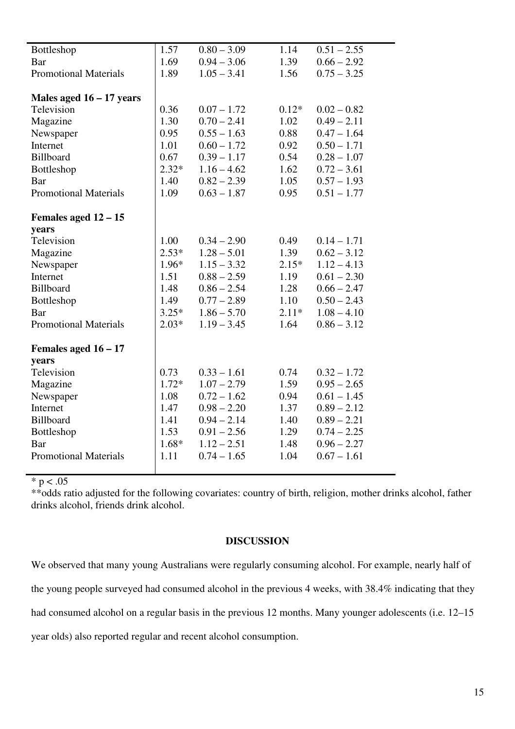| Bottleshop                   | 1.57    | $0.80 - 3.09$ | 1.14    | $0.51 - 2.55$ |
|------------------------------|---------|---------------|---------|---------------|
| Bar                          | 1.69    | $0.94 - 3.06$ | 1.39    | $0.66 - 2.92$ |
| <b>Promotional Materials</b> | 1.89    | $1.05 - 3.41$ | 1.56    | $0.75 - 3.25$ |
|                              |         |               |         |               |
| Males aged $16 - 17$ years   |         |               |         |               |
| Television                   | 0.36    | $0.07 - 1.72$ | $0.12*$ | $0.02 - 0.82$ |
| Magazine                     | 1.30    | $0.70 - 2.41$ | 1.02    | $0.49 - 2.11$ |
| Newspaper                    | 0.95    | $0.55 - 1.63$ | 0.88    | $0.47 - 1.64$ |
| Internet                     | 1.01    | $0.60 - 1.72$ | 0.92    | $0.50 - 1.71$ |
| Billboard                    | 0.67    | $0.39 - 1.17$ | 0.54    | $0.28 - 1.07$ |
| Bottleshop                   | $2.32*$ | $1.16 - 4.62$ | 1.62    | $0.72 - 3.61$ |
| Bar                          | 1.40    | $0.82 - 2.39$ | 1.05    | $0.57 - 1.93$ |
| <b>Promotional Materials</b> | 1.09    | $0.63 - 1.87$ | 0.95    | $0.51 - 1.77$ |
|                              |         |               |         |               |
| Females aged $12 - 15$       |         |               |         |               |
| years                        |         |               |         |               |
| Television                   | 1.00    | $0.34 - 2.90$ | 0.49    | $0.14 - 1.71$ |
| Magazine                     | $2.53*$ | $1.28 - 5.01$ | 1.39    | $0.62 - 3.12$ |
| Newspaper                    | 1.96*   | $1.15 - 3.32$ | $2.15*$ | $1.12 - 4.13$ |
| Internet                     | 1.51    | $0.88 - 2.59$ | 1.19    | $0.61 - 2.30$ |
| Billboard                    | 1.48    | $0.86 - 2.54$ | 1.28    | $0.66 - 2.47$ |
| Bottleshop                   | 1.49    | $0.77 - 2.89$ | 1.10    | $0.50 - 2.43$ |
| Bar                          | $3.25*$ | $1.86 - 5.70$ | $2.11*$ | $1.08 - 4.10$ |
| <b>Promotional Materials</b> | $2.03*$ | $1.19 - 3.45$ | 1.64    | $0.86 - 3.12$ |
|                              |         |               |         |               |
| Females aged $16 - 17$       |         |               |         |               |
| years                        |         |               |         |               |
| Television                   | 0.73    | $0.33 - 1.61$ | 0.74    | $0.32 - 1.72$ |
| Magazine                     | $1.72*$ | $1.07 - 2.79$ | 1.59    | $0.95 - 2.65$ |
| Newspaper                    | 1.08    | $0.72 - 1.62$ | 0.94    | $0.61 - 1.45$ |
| Internet                     | 1.47    | $0.98 - 2.20$ | 1.37    | $0.89 - 2.12$ |
| Billboard                    | 1.41    | $0.94 - 2.14$ | 1.40    | $0.89 - 2.21$ |
| Bottleshop                   | 1.53    | $0.91 - 2.56$ | 1.29    | $0.74 - 2.25$ |
| Bar                          | $1.68*$ | $1.12 - 2.51$ | 1.48    | $0.96 - 2.27$ |
| <b>Promotional Materials</b> | 1.11    | $0.74 - 1.65$ | 1.04    | $0.67 - 1.61$ |
|                              |         |               |         |               |

 $* p < .05$ 

\*\*odds ratio adjusted for the following covariates: country of birth, religion, mother drinks alcohol, father drinks alcohol, friends drink alcohol.

## **DISCUSSION**

We observed that many young Australians were regularly consuming alcohol. For example, nearly half of the young people surveyed had consumed alcohol in the previous 4 weeks, with 38.4% indicating that they had consumed alcohol on a regular basis in the previous 12 months. Many younger adolescents (i.e. 12–15 year olds) also reported regular and recent alcohol consumption.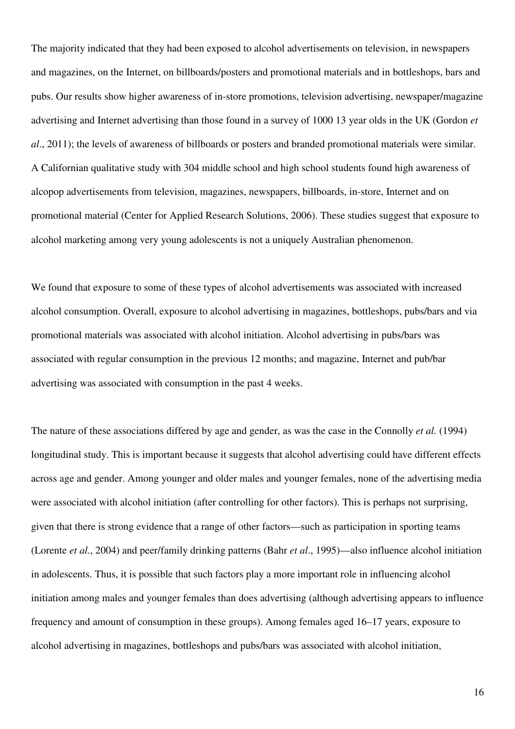The majority indicated that they had been exposed to alcohol advertisements on television, in newspapers and magazines, on the Internet, on billboards/posters and promotional materials and in bottleshops, bars and pubs. Our results show higher awareness of in-store promotions, television advertising, newspaper/magazine advertising and Internet advertising than those found in a survey of 1000 13 year olds in the UK (Gordon *et al*., 2011); the levels of awareness of billboards or posters and branded promotional materials were similar. A Californian qualitative study with 304 middle school and high school students found high awareness of alcopop advertisements from television, magazines, newspapers, billboards, in-store, Internet and on promotional material (Center for Applied Research Solutions, 2006). These studies suggest that exposure to alcohol marketing among very young adolescents is not a uniquely Australian phenomenon.

We found that exposure to some of these types of alcohol advertisements was associated with increased alcohol consumption. Overall, exposure to alcohol advertising in magazines, bottleshops, pubs/bars and via promotional materials was associated with alcohol initiation. Alcohol advertising in pubs/bars was associated with regular consumption in the previous 12 months; and magazine, Internet and pub/bar advertising was associated with consumption in the past 4 weeks.

The nature of these associations differed by age and gender, as was the case in the Connolly *et al.* (1994) longitudinal study. This is important because it suggests that alcohol advertising could have different effects across age and gender. Among younger and older males and younger females, none of the advertising media were associated with alcohol initiation (after controlling for other factors). This is perhaps not surprising, given that there is strong evidence that a range of other factors—such as participation in sporting teams (Lorente *et al*., 2004) and peer/family drinking patterns (Bahr *et al*., 1995)—also influence alcohol initiation in adolescents. Thus, it is possible that such factors play a more important role in influencing alcohol initiation among males and younger females than does advertising (although advertising appears to influence frequency and amount of consumption in these groups). Among females aged 16–17 years, exposure to alcohol advertising in magazines, bottleshops and pubs/bars was associated with alcohol initiation,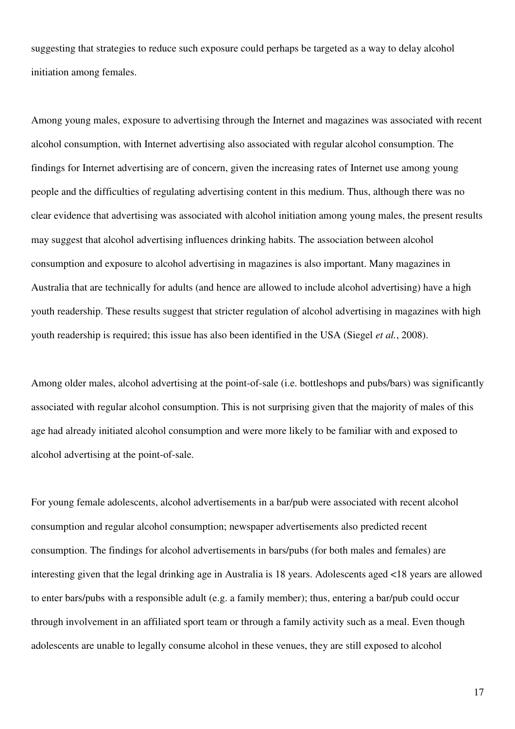suggesting that strategies to reduce such exposure could perhaps be targeted as a way to delay alcohol initiation among females.

Among young males, exposure to advertising through the Internet and magazines was associated with recent alcohol consumption, with Internet advertising also associated with regular alcohol consumption. The findings for Internet advertising are of concern, given the increasing rates of Internet use among young people and the difficulties of regulating advertising content in this medium. Thus, although there was no clear evidence that advertising was associated with alcohol initiation among young males, the present results may suggest that alcohol advertising influences drinking habits. The association between alcohol consumption and exposure to alcohol advertising in magazines is also important. Many magazines in Australia that are technically for adults (and hence are allowed to include alcohol advertising) have a high youth readership. These results suggest that stricter regulation of alcohol advertising in magazines with high youth readership is required; this issue has also been identified in the USA (Siegel *et al.*, 2008).

Among older males, alcohol advertising at the point-of-sale (i.e. bottleshops and pubs/bars) was significantly associated with regular alcohol consumption. This is not surprising given that the majority of males of this age had already initiated alcohol consumption and were more likely to be familiar with and exposed to alcohol advertising at the point-of-sale.

For young female adolescents, alcohol advertisements in a bar/pub were associated with recent alcohol consumption and regular alcohol consumption; newspaper advertisements also predicted recent consumption. The findings for alcohol advertisements in bars/pubs (for both males and females) are interesting given that the legal drinking age in Australia is 18 years. Adolescents aged <18 years are allowed to enter bars/pubs with a responsible adult (e.g. a family member); thus, entering a bar/pub could occur through involvement in an affiliated sport team or through a family activity such as a meal. Even though adolescents are unable to legally consume alcohol in these venues, they are still exposed to alcohol

17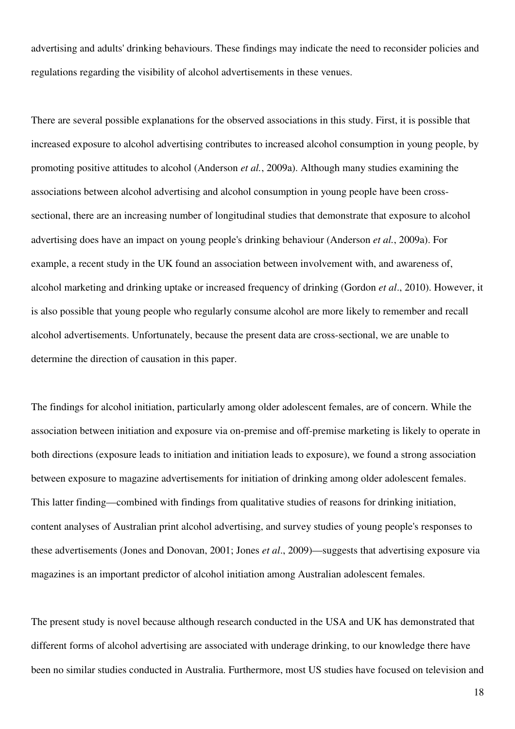advertising and adults' drinking behaviours. These findings may indicate the need to reconsider policies and regulations regarding the visibility of alcohol advertisements in these venues.

There are several possible explanations for the observed associations in this study. First, it is possible that increased exposure to alcohol advertising contributes to increased alcohol consumption in young people, by promoting positive attitudes to alcohol (Anderson *et al.*, 2009a). Although many studies examining the associations between alcohol advertising and alcohol consumption in young people have been crosssectional, there are an increasing number of longitudinal studies that demonstrate that exposure to alcohol advertising does have an impact on young people's drinking behaviour (Anderson *et al.*, 2009a). For example, a recent study in the UK found an association between involvement with, and awareness of, alcohol marketing and drinking uptake or increased frequency of drinking (Gordon *et al*., 2010). However, it is also possible that young people who regularly consume alcohol are more likely to remember and recall alcohol advertisements. Unfortunately, because the present data are cross-sectional, we are unable to determine the direction of causation in this paper.

The findings for alcohol initiation, particularly among older adolescent females, are of concern. While the association between initiation and exposure via on-premise and off-premise marketing is likely to operate in both directions (exposure leads to initiation and initiation leads to exposure), we found a strong association between exposure to magazine advertisements for initiation of drinking among older adolescent females. This latter finding—combined with findings from qualitative studies of reasons for drinking initiation, content analyses of Australian print alcohol advertising, and survey studies of young people's responses to these advertisements (Jones and Donovan, 2001; Jones *et al*., 2009)—suggests that advertising exposure via magazines is an important predictor of alcohol initiation among Australian adolescent females.

The present study is novel because although research conducted in the USA and UK has demonstrated that different forms of alcohol advertising are associated with underage drinking, to our knowledge there have been no similar studies conducted in Australia. Furthermore, most US studies have focused on television and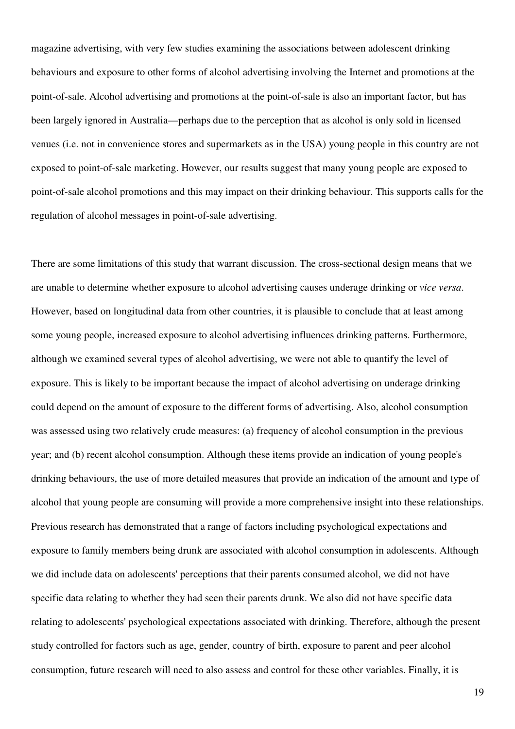magazine advertising, with very few studies examining the associations between adolescent drinking behaviours and exposure to other forms of alcohol advertising involving the Internet and promotions at the point-of-sale. Alcohol advertising and promotions at the point-of-sale is also an important factor, but has been largely ignored in Australia—perhaps due to the perception that as alcohol is only sold in licensed venues (i.e. not in convenience stores and supermarkets as in the USA) young people in this country are not exposed to point-of-sale marketing. However, our results suggest that many young people are exposed to point-of-sale alcohol promotions and this may impact on their drinking behaviour. This supports calls for the regulation of alcohol messages in point-of-sale advertising.

There are some limitations of this study that warrant discussion. The cross-sectional design means that we are unable to determine whether exposure to alcohol advertising causes underage drinking or *vice versa*. However, based on longitudinal data from other countries, it is plausible to conclude that at least among some young people, increased exposure to alcohol advertising influences drinking patterns. Furthermore, although we examined several types of alcohol advertising, we were not able to quantify the level of exposure. This is likely to be important because the impact of alcohol advertising on underage drinking could depend on the amount of exposure to the different forms of advertising. Also, alcohol consumption was assessed using two relatively crude measures: (a) frequency of alcohol consumption in the previous year; and (b) recent alcohol consumption. Although these items provide an indication of young people's drinking behaviours, the use of more detailed measures that provide an indication of the amount and type of alcohol that young people are consuming will provide a more comprehensive insight into these relationships. Previous research has demonstrated that a range of factors including psychological expectations and exposure to family members being drunk are associated with alcohol consumption in adolescents. Although we did include data on adolescents' perceptions that their parents consumed alcohol, we did not have specific data relating to whether they had seen their parents drunk. We also did not have specific data relating to adolescents' psychological expectations associated with drinking. Therefore, although the present study controlled for factors such as age, gender, country of birth, exposure to parent and peer alcohol consumption, future research will need to also assess and control for these other variables. Finally, it is

19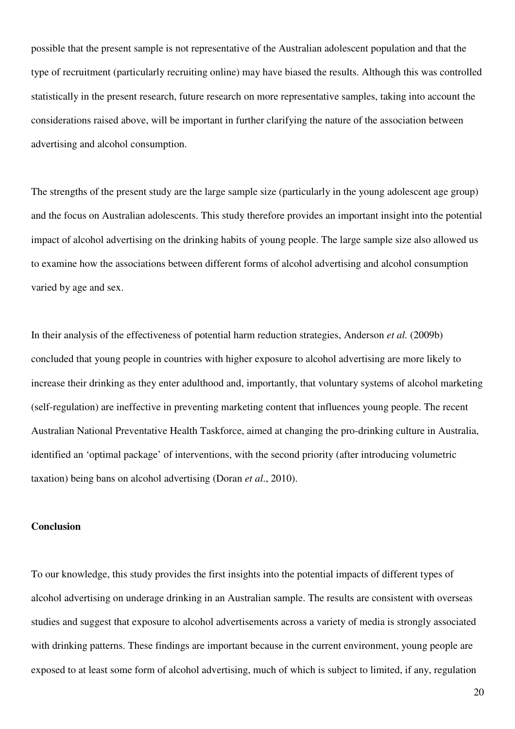possible that the present sample is not representative of the Australian adolescent population and that the type of recruitment (particularly recruiting online) may have biased the results. Although this was controlled statistically in the present research, future research on more representative samples, taking into account the considerations raised above, will be important in further clarifying the nature of the association between advertising and alcohol consumption.

The strengths of the present study are the large sample size (particularly in the young adolescent age group) and the focus on Australian adolescents. This study therefore provides an important insight into the potential impact of alcohol advertising on the drinking habits of young people. The large sample size also allowed us to examine how the associations between different forms of alcohol advertising and alcohol consumption varied by age and sex.

In their analysis of the effectiveness of potential harm reduction strategies, Anderson *et al.* (2009b) concluded that young people in countries with higher exposure to alcohol advertising are more likely to increase their drinking as they enter adulthood and, importantly, that voluntary systems of alcohol marketing (self-regulation) are ineffective in preventing marketing content that influences young people. The recent Australian National Preventative Health Taskforce, aimed at changing the pro-drinking culture in Australia, identified an 'optimal package' of interventions, with the second priority (after introducing volumetric taxation) being bans on alcohol advertising (Doran *et al*., 2010).

## **Conclusion**

To our knowledge, this study provides the first insights into the potential impacts of different types of alcohol advertising on underage drinking in an Australian sample. The results are consistent with overseas studies and suggest that exposure to alcohol advertisements across a variety of media is strongly associated with drinking patterns. These findings are important because in the current environment, young people are exposed to at least some form of alcohol advertising, much of which is subject to limited, if any, regulation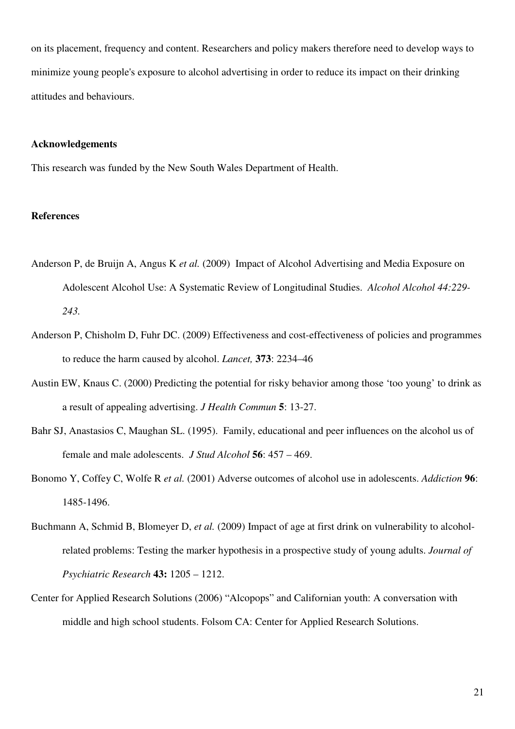on its placement, frequency and content. Researchers and policy makers therefore need to develop ways to minimize young people's exposure to alcohol advertising in order to reduce its impact on their drinking attitudes and behaviours.

#### **Acknowledgements**

This research was funded by the New South Wales Department of Health.

#### **References**

- Anderson P, de Bruijn A, Angus K *et al.* (2009) Impact of Alcohol Advertising and Media Exposure on Adolescent Alcohol Use: A Systematic Review of Longitudinal Studies. *Alcohol Alcohol 44:229- 243.*
- Anderson P, Chisholm D, Fuhr DC. (2009) Effectiveness and cost-effectiveness of policies and programmes to reduce the harm caused by alcohol. *Lancet,* **373**: 2234–46
- Austin EW, Knaus C. (2000) Predicting the potential for risky behavior among those 'too young' to drink as a result of appealing advertising. *J Health Commun* **5**: 13-27.
- Bahr SJ, Anastasios C, Maughan SL. (1995). Family, educational and peer influences on the alcohol us of female and male adolescents. *J Stud Alcohol* **56**: 457 – 469.
- Bonomo Y, Coffey C, Wolfe R *et al.* (2001) Adverse outcomes of alcohol use in adolescents. *Addiction* **96**: 1485-1496.
- Buchmann A, Schmid B, Blomeyer D, *et al.* (2009) Impact of age at first drink on vulnerability to alcoholrelated problems: Testing the marker hypothesis in a prospective study of young adults. *Journal of Psychiatric Research* **43:** 1205 – 1212.
- Center for Applied Research Solutions (2006) "Alcopops" and Californian youth: A conversation with middle and high school students. Folsom CA: Center for Applied Research Solutions.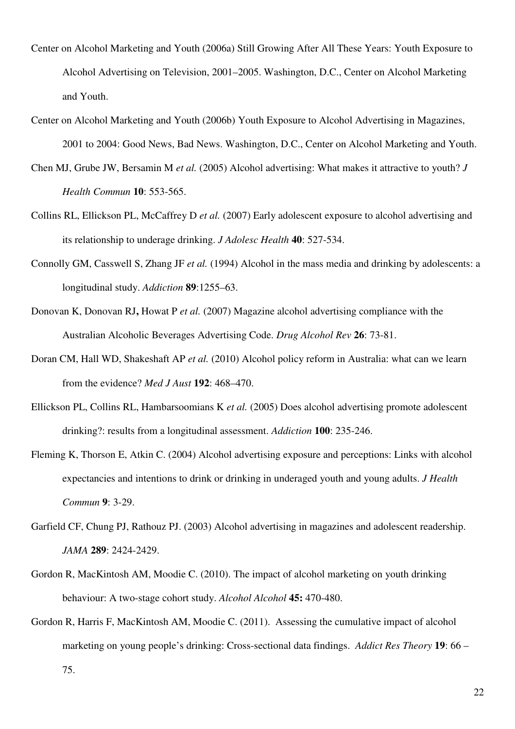- Center on Alcohol Marketing and Youth (2006a) Still Growing After All These Years: Youth Exposure to Alcohol Advertising on Television, 2001–2005. Washington, D.C., Center on Alcohol Marketing and Youth.
- Center on Alcohol Marketing and Youth (2006b) Youth Exposure to Alcohol Advertising in Magazines, 2001 to 2004: Good News, Bad News. Washington, D.C., Center on Alcohol Marketing and Youth.
- Chen MJ, Grube JW, Bersamin M *et al.* (2005) Alcohol advertising: What makes it attractive to youth? *J Health Commun* **10**: 553-565.
- Collins RL, Ellickson PL, McCaffrey D *et al.* (2007) Early adolescent exposure to alcohol advertising and its relationship to underage drinking. *J Adolesc Health* **40**: 527-534.
- Connolly GM, Casswell S, Zhang JF *et al.* (1994) Alcohol in the mass media and drinking by adolescents: a longitudinal study. *Addiction* **89**:1255–63.
- Donovan K, Donovan RJ**,** Howat P *et al.* (2007) Magazine alcohol advertising compliance with the Australian Alcoholic Beverages Advertising Code. *Drug Alcohol Rev* **26**: 73-81.
- Doran CM, Hall WD, Shakeshaft AP *et al.* (2010) Alcohol policy reform in Australia: what can we learn from the evidence? *Med J Aust* **192**: 468–470.
- Ellickson PL, Collins RL, Hambarsoomians K *et al.* (2005) Does alcohol advertising promote adolescent drinking?: results from a longitudinal assessment. *Addiction* **100**: 235-246.
- Fleming K, Thorson E, Atkin C. (2004) Alcohol advertising exposure and perceptions: Links with alcohol expectancies and intentions to drink or drinking in underaged youth and young adults. *J Health Commun* **9**: 3-29.
- Garfield CF, Chung PJ, Rathouz PJ. (2003) Alcohol advertising in magazines and adolescent readership. *JAMA* **289**: 2424-2429.
- Gordon R, MacKintosh AM, Moodie C. (2010). The impact of alcohol marketing on youth drinking behaviour: A two-stage cohort study. *Alcohol Alcohol* **45:** 470-480.
- Gordon R, Harris F, MacKintosh AM, Moodie C. (2011). Assessing the cumulative impact of alcohol marketing on young people's drinking: Cross-sectional data findings. *Addict Res Theory* **19**: 66 –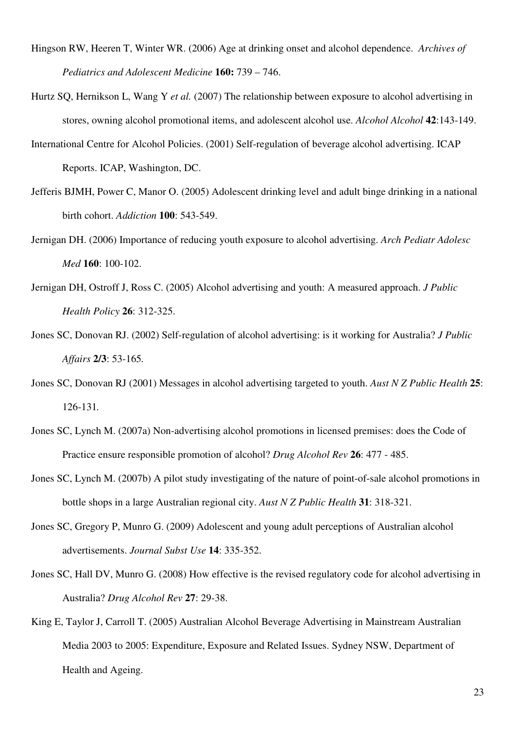- Hingson RW, Heeren T, Winter WR. (2006) Age at drinking onset and alcohol dependence. *Archives of Pediatrics and Adolescent Medicine* **160:** 739 – 746.
- Hurtz SQ, Hernikson L, Wang Y *et al.* (2007) The relationship between exposure to alcohol advertising in stores, owning alcohol promotional items, and adolescent alcohol use. *Alcohol Alcohol* **42**:143-149.
- International Centre for Alcohol Policies. (2001) Self-regulation of beverage alcohol advertising. ICAP Reports. ICAP, Washington, DC.
- Jefferis BJMH, Power C, Manor O. (2005) Adolescent drinking level and adult binge drinking in a national birth cohort. *Addiction* **100**: 543-549.
- Jernigan DH. (2006) Importance of reducing youth exposure to alcohol advertising. *Arch Pediatr Adolesc Med* **160**: 100-102.
- Jernigan DH, Ostroff J, Ross C. (2005) Alcohol advertising and youth: A measured approach. *J Public Health Policy* **26**: 312-325.
- Jones SC, Donovan RJ. (2002) Self-regulation of alcohol advertising: is it working for Australia? *J Public Affairs* **2/3**: 53-165*.*
- Jones SC, Donovan RJ (2001) Messages in alcohol advertising targeted to youth. *Aust N Z Public Health* **25**: 126-131*.*
- Jones SC, Lynch M. (2007a) Non-advertising alcohol promotions in licensed premises: does the Code of Practice ensure responsible promotion of alcohol? *Drug Alcohol Rev* **26**: 477 - 485.
- Jones SC, Lynch M. (2007b) A pilot study investigating of the nature of point-of-sale alcohol promotions in bottle shops in a large Australian regional city. *Aust N Z Public Health* **31**: 318-321.
- Jones SC, Gregory P, Munro G. (2009) Adolescent and young adult perceptions of Australian alcohol advertisements. *Journal Subst Use* **14**: 335-352.
- Jones SC, Hall DV, Munro G. (2008) How effective is the revised regulatory code for alcohol advertising in Australia? *Drug Alcohol Rev* **27**: 29-38.
- King E, Taylor J, Carroll T. (2005) Australian Alcohol Beverage Advertising in Mainstream Australian Media 2003 to 2005: Expenditure, Exposure and Related Issues. Sydney NSW, Department of Health and Ageing.